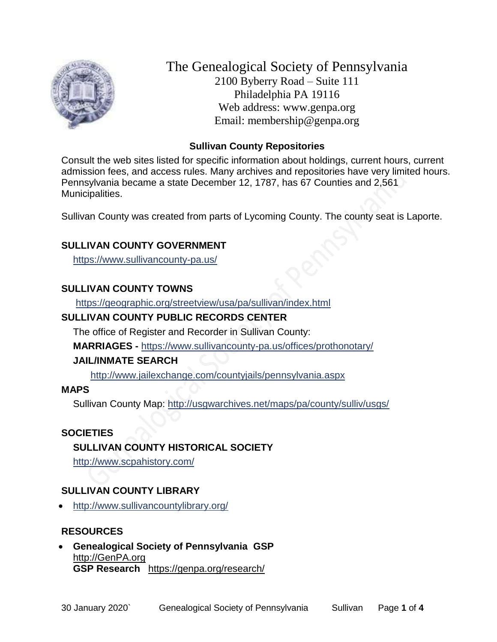

The Genealogical Society of Pennsylvania 2100 Byberry Road – Suite 111 Philadelphia PA 19116 Web address: www.genpa.org Email: membership@genpa.org

#### **Sullivan County Repositories**

Consult the web sites listed for specific information about holdings, current hours, current admission fees, and access rules. Many archives and repositories have very limited hours. Pennsylvania became a state December 12, 1787, has 67 Counties and 2,561 Municipalities.

Sullivan County was created from parts of Lycoming County. The county seat is Laporte.

### **SULLIVAN COUNTY GOVERNMENT**

<https://www.sullivancounty-pa.us/>

### **SULLIVAN COUNTY TOWNS**

<https://geographic.org/streetview/usa/pa/sullivan/index.html>

## **SULLIVAN COUNTY PUBLIC RECORDS CENTER**

The office of Register and Recorder in Sullivan County:

**MARRIAGES -** <https://www.sullivancounty-pa.us/offices/prothonotary/>

#### **JAIL/INMATE SEARCH**

<http://www.jailexchange.com/countyjails/pennsylvania.aspx>

#### **MAPS**

Sullivan County Map:<http://usgwarchives.net/maps/pa/county/sulliv/usgs/>

#### **SOCIETIES**

# **SULLIVAN COUNTY HISTORICAL SOCIETY**

<http://www.scpahistory.com/>

#### **SULLIVAN COUNTY LIBRARY**

<http://www.sullivancountylibrary.org/>

#### **RESOURCES**

 **Genealogical Society of Pennsylvania GSP** [http://GenPA.org](http://genpa.org/) **GSP Research** <https://genpa.org/research/>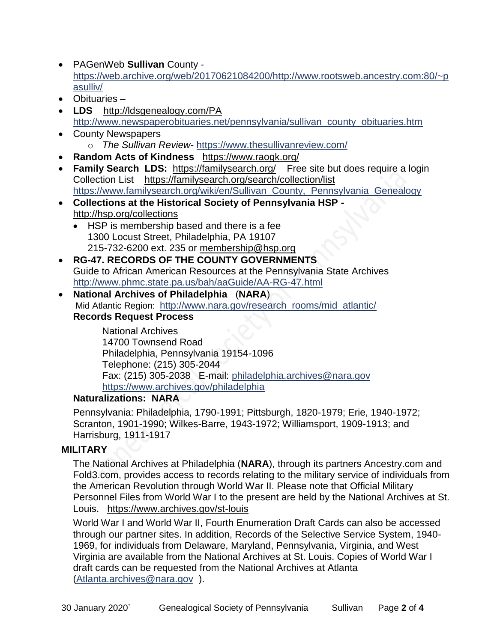- PAGenWeb **Sullivan** County [https://web.archive.org/web/20170621084200/http://www.rootsweb.ancestry.com:80/~p](https://web.archive.org/web/20170621084200/http:/www.rootsweb.ancestry.com:80/~pasulliv/) [asulliv/](https://web.archive.org/web/20170621084200/http:/www.rootsweb.ancestry.com:80/~pasulliv/)
- Obituaries –
- LDS <http://ldsgenealogy.com/PA> [http://www.newspaperobituaries.net/pennsylvania/sullivan\\_county\\_obituaries.htm](http://www.newspaperobituaries.net/pennsylvania/sullivan_county_obituaries.htm)
- County Newspapers o *The Sullivan Review*- <https://www.thesullivanreview.com/>
- **Random Acts of Kindness** <https://www.raogk.org/>
- **Family Search LDS:** <https://familysearch.org/>Free site but does require a login Collection List <https://familysearch.org/search/collection/list> [https://www.familysearch.org/wiki/en/Sullivan\\_County,\\_Pennsylvania\\_Genealogy](https://www.familysearch.org/wiki/en/Sullivan_County,_Pennsylvania_Genealogy)
- **Collections at the Historical Society of Pennsylvania HSP**  <http://hsp.org/collections>
	- HSP is membership based and there is a fee 1300 Locust Street, Philadelphia, PA 19107 215-732-6200 ext. 235 or [membership@hsp.org](mailto:membership@hsp.org)
- **RG-47. RECORDS OF THE COUNTY GOVERNMENTS** Guide to African American Resources at the Pennsylvania State Archives <http://www.phmc.state.pa.us/bah/aaGuide/AA-RG-47.html>
- **National Archives of Philadelphia** (**NARA**) Mid Atlantic Region: [http://www.nara.gov/research\\_rooms/mid\\_atlantic/](http://www.nara.gov/research_rooms/mid_atlantic/) **Records Request Process**

National Archives 14700 Townsend Road Philadelphia, Pennsylvania 19154-1096 Telephone: (215) 305-2044 Fax: (215) 305-2038 E-mail: [philadelphia.archives@nara.gov](mailto:philadelphia.archives@nara.gov) <https://www.archives.gov/philadelphia>

# **Naturalizations: NARA**

Pennsylvania: Philadelphia, 1790-1991; Pittsburgh, 1820-1979; Erie, 1940-1972; Scranton, 1901-1990; Wilkes-Barre, 1943-1972; Williamsport, 1909-1913; and Harrisburg, 1911-1917

# **MILITARY**

The National Archives at Philadelphia (**NARA**), through its partners Ancestry.com and Fold3.com, provides access to records relating to the military service of individuals from the American Revolution through World War II. Please note that Official Military Personnel Files from World War I to the present are held by the National Archives at St. Louis. <https://www.archives.gov/st-louis>

World War I and World War II, Fourth Enumeration Draft Cards can also be accessed through our partner sites. In addition, Records of the Selective Service System, 1940- 1969, for individuals from Delaware, Maryland, Pennsylvania, Virginia, and West Virginia are available from the National Archives at St. Louis. Copies of World War I draft cards can be requested from the National Archives at Atlanta [\(Atlanta.archives@nara.gov](mailto:Atlanta.archives@nara.gov) ).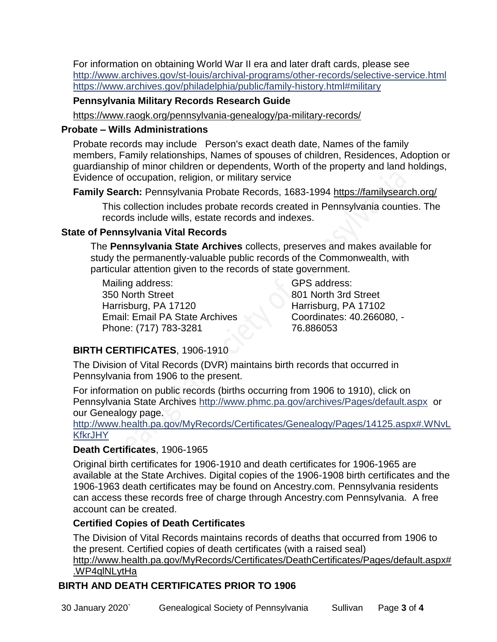For information on obtaining World War II era and later draft cards, please see <http://www.archives.gov/st-louis/archival-programs/other-records/selective-service.html> <https://www.archives.gov/philadelphia/public/family-history.html#military>

#### **Pennsylvania Military Records Research Guide**

<https://www.raogk.org/pennsylvania-genealogy/pa-military-records/>

#### **Probate – Wills Administrations**

Probate records may include Person's exact death date, Names of the family members, Family relationships, Names of spouses of children, Residences, Adoption or guardianship of minor children or dependents, Worth of the property and land holdings, Evidence of occupation, religion, or military service

**Family Search:** Pennsylvania Probate Records, 1683-1994 <https://familysearch.org/>

This collection includes probate records created in Pennsylvania counties. The records include wills, estate records and indexes.

### **State of Pennsylvania Vital Records**

The **Pennsylvania State Archives** collects, preserves and makes available for study the permanently-valuable public records of the Commonwealth, with particular attention given to the records of state government.

Mailing address: 350 North Street Harrisburg, PA 17120 Email: Email PA State Archives Phone: (717) 783-3281

GPS address: 801 North 3rd Street Harrisburg, PA 17102 Coordinates: 40.266080, - 76.886053

# **BIRTH CERTIFICATES**, 1906-1910

The Division of Vital Records (DVR) maintains birth records that occurred in Pennsylvania from 1906 to the present.

For information on public records (births occurring from 1906 to 1910), click on Pennsylvania State Archives <http://www.phmc.pa.gov/archives/Pages/default.aspx>or our Genealogy page.

[http://www.health.pa.gov/MyRecords/Certificates/Genealogy/Pages/14125.aspx#.WNvL](http://www.health.pa.gov/MyRecords/Certificates/Genealogy/Pages/14125.aspx#.WNvLKfkrJHY) **[KfkrJHY](http://www.health.pa.gov/MyRecords/Certificates/Genealogy/Pages/14125.aspx#.WNvLKfkrJHY)** 

# **Death Certificates**, 1906-1965

Original birth certificates for 1906-1910 and death certificates for 1906-1965 are available at the State Archives. Digital copies of the 1906-1908 birth certificates and the 1906-1963 death certificates may be found on Ancestry.com. Pennsylvania residents can access these records free of charge through Ancestry.com Pennsylvania. A free account can be created.

# **Certified Copies of Death Certificates**

The Division of Vital Records maintains records of deaths that occurred from 1906 to the present. Certified copies of death certificates (with a raised seal) http://www.health.pa.gov/MyRecords/Certificates/DeathCertificates/Pages/default.aspx# .WP4qlNLytHa

# **BIRTH AND DEATH CERTIFICATES PRIOR TO 1906**